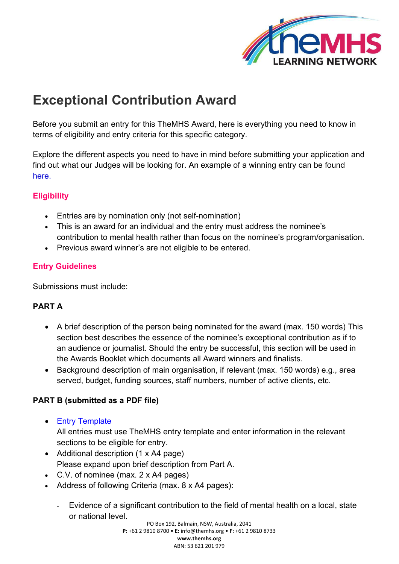

# **Exceptional Contribution Award**

Before you submit an entry for this TheMHS Award, here is everything you need to know in terms of eligibility and entry criteria for this specific category.

Explore the different aspects you need to have in mind before submitting your application and find out what our Judges will be looking for. An example of a winning entry can be found [here](https://www.themhs.org/wp-content/uploads/2022/01/Excep_Cont_Fran-Silvestri-Submission.pdf).

### **Eligibility**

- Entries are by nomination only (not self-nomination)
- This is an award for an individual and the entry must address the nominee's contribution to mental health rather than focus on the nominee's program/organisation.
- Previous award winner's are not eligible to be entered.

## **Entry Guidelines**

Submissions must include:

### **PART A**

- A brief description of the person being nominated for the award (max. 150 words) This section best describes the essence of the nominee's exceptional contribution as if to an audience or journalist. Should the entry be successful, this section will be used in the Awards Booklet which documents all Award winners and finalists.
- Background description of main organisation, if relevant (max. 150 words) e.g., area served, budget, funding sources, staff numbers, number of active clients, etc.

### **PART B (submitted as a PDF file)**

• [Entry Template](https://www.themhs.org/wp-content/uploads/2021/03/Entry-Template-Exceptional-Contribution.docx)

All entries must use TheMHS entry template and enter information in the relevant sections to be eligible for entry.

- Additional description (1 x A4 page) Please expand upon brief description from Part A.
- C.V. of nominee (max. 2 x A4 pages)
- Address of following Criteria (max. 8 x A4 pages):
	- Evidence of a significant contribution to the field of mental health on a local, state or national level.

PO Box 192, Balmain, NSW, Australia, 2041 **P:** +61 2 9810 8700 • **E:** [info@themhs.org •](mailto:info@themhs.org) **F:** +61 2 9810 8733 **[www.themhs.org](http://www.themhs.org/)** ABN: 53 621 201 979